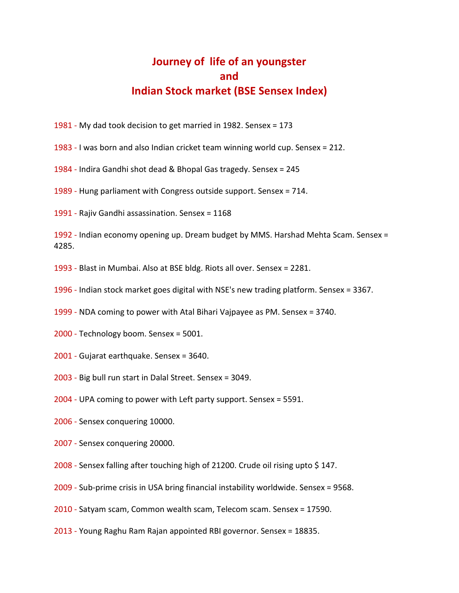## **Journey of life of an youngster and Indian Stock market (BSE Sensex Index)**

- 1981 My dad took decision to get married in 1982. Sensex = 173
- 1983 I was born and also Indian cricket team winning world cup. Sensex = 212.
- 1984 Indira Gandhi shot dead & Bhopal Gas tragedy. Sensex = 245
- 1989 Hung parliament with Congress outside support. Sensex = 714.
- 1991 Rajiv Gandhi assassination. Sensex = 1168

1992 - Indian economy opening up. Dream budget by MMS. Harshad Mehta Scam. Sensex = 4285.

1993 - Blast in Mumbai. Also at BSE bldg. Riots all over. Sensex = 2281.

1996 - Indian stock market goes digital with NSE's new trading platform. Sensex = 3367.

1999 - NDA coming to power with Atal Bihari Vajpayee as PM. Sensex = 3740.

- 2000 Technology boom. Sensex = 5001.
- 2001 Gujarat earthquake. Sensex = 3640.
- 2003 Big bull run start in Dalal Street. Sensex = 3049.
- 2004 UPA coming to power with Left party support. Sensex = 5591.
- 2006 Sensex conquering 10000.
- 2007 Sensex conquering 20000.
- 2008 Sensex falling after touching high of 21200. Crude oil rising upto \$ 147.
- 2009 Sub-prime crisis in USA bring financial instability worldwide. Sensex = 9568.
- 2010 Satyam scam, Common wealth scam, Telecom scam. Sensex = 17590.
- 2013 Young Raghu Ram Rajan appointed RBI governor. Sensex = 18835.